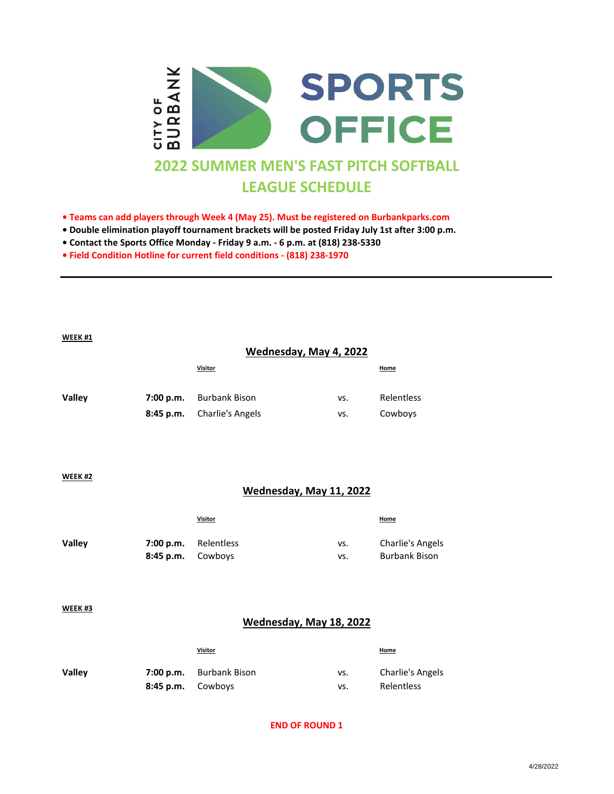

- **Teams can add players through Week 4 (May 25). Must be registered on Burbankparks.com**
- **Double elimination playoff tournament brackets will be posted Friday July 1st after 3:00 p.m.**
- **Contact the Sports Office Monday Friday 9 a.m. 6 p.m. at (818) 238-5330**
- **Field Condition Hotline for current field conditions (818) 238-1970**

#### **WEEK #1**

### **Wednesday, May 4, 2022**

|               | <b>Visitor</b>                 |     | <b>Home</b> |
|---------------|--------------------------------|-----|-------------|
| <b>Valley</b> | <b>7:00 p.m.</b> Burbank Bison | vs. | Relentless  |
|               | 8:45 p.m. Charlie's Angels     | VS. | Cowboys     |

#### **WEEK #2**

### **Wednesday, May 11, 2022**

| <b>Visitor</b> |                                           | <b>Home</b>                                     |
|----------------|-------------------------------------------|-------------------------------------------------|
|                | vs.                                       | <b>Charlie's Angels</b><br><b>Burbank Bison</b> |
|                | 7:00 p.m. Relentless<br>8:45 p.m. Cowboys | vs.                                             |

**WEEK #3**

### **Wednesday, May 18, 2022**

|               |                     | <b>Visitor</b>                 |     | <b>Home</b>      |
|---------------|---------------------|--------------------------------|-----|------------------|
| <b>Valley</b> |                     | <b>7:00 p.m.</b> Burbank Bison | vs. | Charlie's Angels |
|               | $8:45$ p.m. Cowboys |                                | VS. | Relentless       |

### **END OF ROUND 1**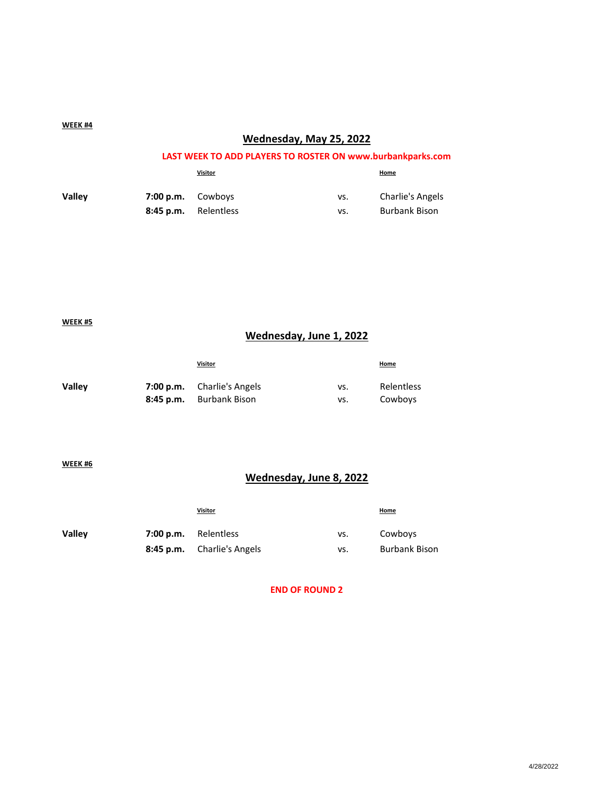#### **WEEK #4**

## **Wednesday, May 25, 2022**

### **LAST WEEK TO ADD PLAYERS TO ROSTER ON www.burbankparks.com**

|               |                      | <b>Visitor</b> |     | <b>Home</b>             |
|---------------|----------------------|----------------|-----|-------------------------|
| <b>Valley</b> | $7:00 p.m.$ Cowboys  |                | vs. | <b>Charlie's Angels</b> |
|               | 8:45 p.m. Relentless |                | vs. | <b>Burbank Bison</b>    |

**WEEK #5**

## **Wednesday, June 1, 2022**

|               | <b>Visitor</b>                    |     | <b>Home</b> |
|---------------|-----------------------------------|-----|-------------|
| <b>Valley</b> | <b>7:00 p.m.</b> Charlie's Angels | vs. | Relentless  |
|               | 8:45 p.m. Burbank Bison           | vs. | Cowboys     |

**WEEK #6**

# **Wednesday, June 8, 2022**

|               | <b>Visitor</b>                    |     | <b>Home</b>          |
|---------------|-----------------------------------|-----|----------------------|
| <b>Valley</b> | 7:00 p.m. Relentless              | vs. | Cowboys              |
|               | <b>8:45 p.m.</b> Charlie's Angels | VS. | <b>Burbank Bison</b> |

**END OF ROUND 2**